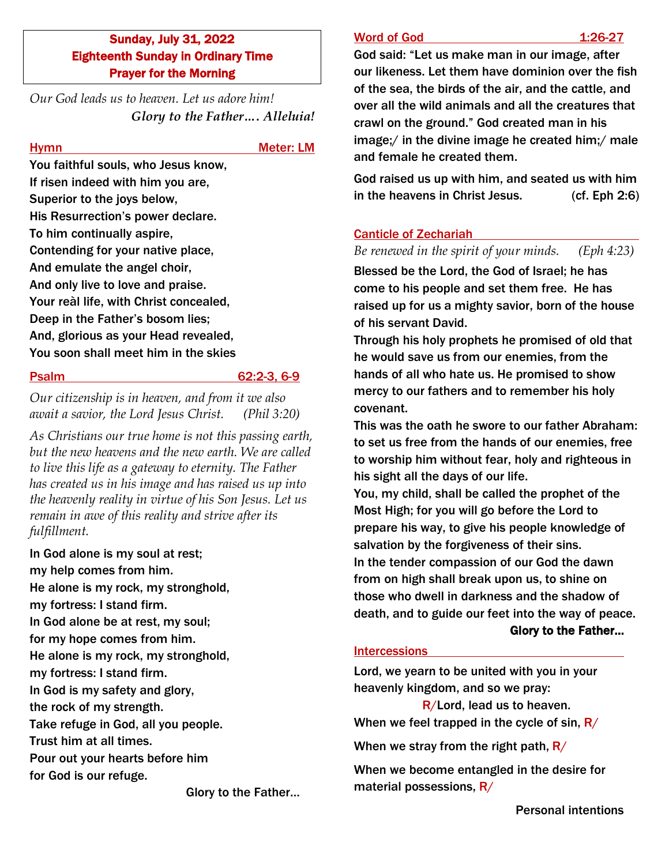# Sunday, July 31, 2022 Eighteenth Sunday in Ordinary Time Prayer for the Morning

*Our God leads us to heaven. Let us adore him! Glory to the Father…. Alleluia!*

### Hymn Meter: LM

You faithful souls, who Jesus know, If risen indeed with him you are, Superior to the joys below, His Resurrection's power declare. To him continually aspire, Contending for your native place, And emulate the angel choir, And only live to love and praise. Your reàl life, with Christ concealed, Deep in the Father's bosom lies; And, glorious as your Head revealed, You soon shall meet him in the skies

### Psalm 62:2-3, 6-9

*Our citizenship is in heaven, and from it we also await a savior, the Lord Jesus Christ. (Phil 3:20)*

*As Christians our true home is not this passing earth, but the new heavens and the new earth. We are called to live this life as a gateway to eternity. The Father has created us in his image and has raised us up into the heavenly reality in virtue of his Son Jesus. Let us remain in awe of this reality and strive after its fulfillment.*

In God alone is my soul at rest; my help comes from him. He alone is my rock, my stronghold, my fortress: I stand firm. In God alone be at rest, my soul; for my hope comes from him. He alone is my rock, my stronghold, my fortress: I stand firm. In God is my safety and glory, the rock of my strength. Take refuge in God, all you people. Trust him at all times. Pour out your hearts before him for God is our refuge.

Glory to the Father…

## Word of God 1:26-27

God said: "Let us make man in our image, after our likeness. Let them have dominion over the fish of the sea, the birds of the air, and the cattle, and over all the wild animals and all the creatures that crawl on the ground." God created man in his image;/ in the divine image he created him;/ male and female he created them.

God raised us up with him, and seated us with him in the heavens in Christ Jesus. (cf. Eph 2:6)

## Canticle of Zechariah

*Be renewed in the spirit of your minds. (Eph 4:23)*

Blessed be the Lord, the God of Israel; he has come to his people and set them free. He has raised up for us a mighty savior, born of the house of his servant David.

Through his holy prophets he promised of old that he would save us from our enemies, from the hands of all who hate us. He promised to show mercy to our fathers and to remember his holy covenant.

This was the oath he swore to our father Abraham: to set us free from the hands of our enemies, free to worship him without fear, holy and righteous in his sight all the days of our life.

You, my child, shall be called the prophet of the Most High; for you will go before the Lord to prepare his way, to give his people knowledge of salvation by the forgiveness of their sins. In the tender compassion of our God the dawn from on high shall break upon us, to shine on those who dwell in darkness and the shadow of death, and to guide our feet into the way of peace.

## Glory to the Father…

### Intercessions

Lord, we yearn to be united with you in your heavenly kingdom, and so we pray:

R/Lord, lead us to heaven. When we feel trapped in the cycle of sin,  $R/$ 

When we stray from the right path,  $R/$ 

When we become entangled in the desire for material possessions,  $R/$ 

Personal intentions